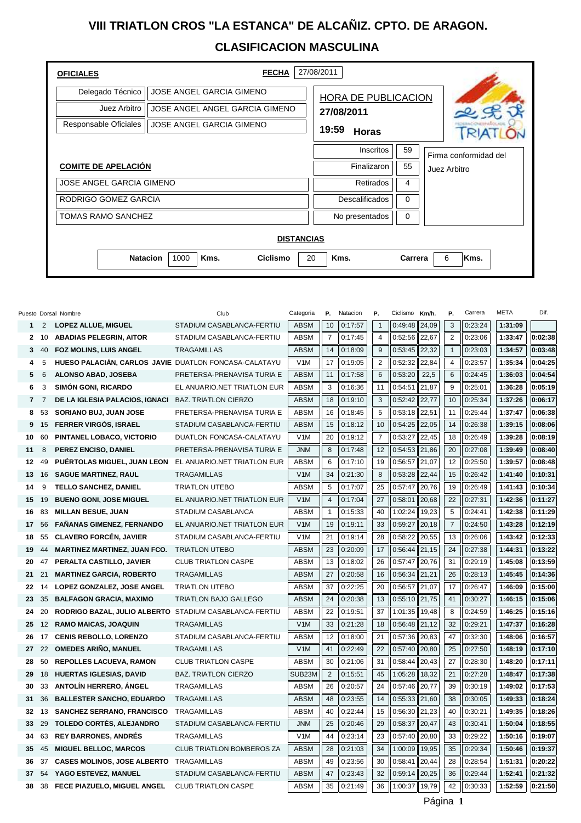## **VIII TRIATLON CROS "LA ESTANCA" DE ALCAÑIZ. CPTO. DE ARAGON. CLASIFICACION MASCULINA**

| <b>OFICIALES</b>                | <b>FECHA</b>                                | 27/08/2011            |                                       |           |  |  |  |  |  |  |
|---------------------------------|---------------------------------------------|-----------------------|---------------------------------------|-----------|--|--|--|--|--|--|
| Delegado Técnico                | <b>JOSE ANGEL GARCIA GIMENO</b>             | HORA DE PUBLICACION   |                                       |           |  |  |  |  |  |  |
| Juez Arbitro                    | JOSE ANGEL ANGEL GARCIA GIMENO              | 27/08/2011            |                                       |           |  |  |  |  |  |  |
| Responsable Oficiales           | <b>JOSE ANGEL GARCIA GIMENO</b>             | 19:59<br><b>Horas</b> |                                       |           |  |  |  |  |  |  |
|                                 |                                             | Inscritos             | 59                                    |           |  |  |  |  |  |  |
| <b>COMITE DE APELACIÓN</b>      | Finalizaron                                 | 55                    | Firma conformidad del<br>Juez Arbitro |           |  |  |  |  |  |  |
| <b>JOSE ANGEL GARCIA GIMENO</b> | Retirados                                   | 4                     |                                       |           |  |  |  |  |  |  |
| RODRIGO GOMEZ GARCIA            | <b>Descalificados</b>                       | $\Omega$              |                                       |           |  |  |  |  |  |  |
| <b>TOMAS RAMO SANCHEZ</b>       | No presentados                              | 0                     |                                       |           |  |  |  |  |  |  |
|                                 |                                             |                       |                                       |           |  |  |  |  |  |  |
| <b>DISTANCIAS</b>               |                                             |                       |                                       |           |  |  |  |  |  |  |
|                                 | 1000<br><b>Natacion</b><br>Kms.<br>Ciclismo | 20<br>Kms.            | Carrera                               | 6<br>Kms. |  |  |  |  |  |  |
|                                 |                                             |                       |                                       |           |  |  |  |  |  |  |

|                |                | Puesto Dorsal Nombre                                  | Club                             | Categoria   | Р.             | Natacion | Р.             | Ciclismo | Km/h. | Ρ.             | Carrera | META    | Dif.    |
|----------------|----------------|-------------------------------------------------------|----------------------------------|-------------|----------------|----------|----------------|----------|-------|----------------|---------|---------|---------|
| 1              | 2              | <b>LOPEZ ALLUE, MIGUEL</b>                            | STADIUM CASABLANCA-FERTIU        | <b>ABSM</b> | 10             | 0:17:57  | $\mathbf{1}$   | 0:49:48  | 24.09 | 3              | 0:23:24 | 1:31:09 |         |
| $\mathbf{2}$   | 10             | <b>ABADIAS PELEGRIN, AITOR</b>                        | STADIUM CASABLANCA-FERTIU        | <b>ABSM</b> | $\overline{7}$ | 0:17:45  | $\overline{4}$ | 0:52:56  | 22.67 | 2              | 0:23:06 | 1:33:47 | 0:02:38 |
| 3              | 40             | FOZ MOLINS, LUIS ANGEL                                | <b>TRAGAMILLAS</b>               | <b>ABSM</b> | 14             | 0:18:09  | 9              | 0:53:45  | 22,32 | $\mathbf{1}$   | 0:23:03 | 1:34:57 | 0:03:48 |
| 4              | 5              | HUESO PALACIÁN, CARLOS JAVIE DUATLON FONCASA-CALATAYU |                                  | V1M         | 17             | 0:19:05  | $\overline{2}$ | 0:52:32  | 22,84 | $\overline{4}$ | 0:23:57 | 1:35:34 | 0:04:25 |
| 5              | 6              | ALONSO ABAD, JOSEBA                                   | PRETERSA-PRENAVISA TURIA E       | <b>ABSM</b> | 11             | 0:17:58  | 6              | 0:53:20  | 22,5  | 6              | 0:24:45 | 1:36:03 | 0:04:54 |
| 6              | 3              | <b>SIMÓN GONI, RICARDO</b>                            | EL ANUARIO.NET TRIATLON EUR      | <b>ABSM</b> | 3              | 0:16:36  | 11             | 0:54:51  | 21,87 | 9              | 0:25:01 | 1:36:28 | 0:05:19 |
| $\overline{7}$ | $\overline{7}$ | DE LA IGLESIA PALACIOS, IGNACI                        | <b>BAZ. TRIATLON CIERZO</b>      | <b>ABSM</b> | 18             | 0:19:10  | 3              | 0:52:42  | 22,77 | 10             | 0:25:34 | 1:37:26 | 0:06:17 |
| 8              | 53             | SORIANO BUJ, JUAN JOSE                                | PRETERSA-PRENAVISA TURIA E       | <b>ABSM</b> | 16             | 0:18:45  | 5              | 0:53:18  | 22,51 | 11             | 0:25:44 | 1:37:47 | 0:06:38 |
| 9              | 15             | FERRER VIRGÓS, ISRAEL                                 | STADIUM CASABLANCA-FERTIU        | <b>ABSM</b> | 15             | 0:18:12  | 10             | 0:54:25  | 22,05 | 14             | 0:26:38 | 1:39:15 | 0:08:06 |
| 10             | 60             | PINTANEL LOBACO, VICTORIO                             | DUATLON FONCASA-CALATAYU         | V1M         | 20             | 0:19:12  | $\overline{7}$ | 0:53:27  | 22,45 | 18             | 0:26:49 | 1:39:28 | 0:08:19 |
| 11             | 8              | PEREZ ENCISO, DANIEL                                  | PRETERSA-PRENAVISA TURIA E       | <b>JNM</b>  | 8              | 0:17:48  | 12             | 0:54:53  | 21,86 | 20             | 0:27:08 | 1:39:49 | 0:08:40 |
| 12             | 49             | PUÉRTOLAS MIGUEL, JUAN LEON                           | EL ANUARIO.NET TRIATLON EUR      | <b>ABSM</b> | 6              | 0:17:10  | 19             | 0:56:57  | 21,07 | 12             | 0:25:50 | 1:39:57 | 0:08:48 |
| 13             | 16             | <b>SAGUE MARTINEZ, RAUL</b>                           | <b>TRAGAMILLAS</b>               | V1M         | 34             | 0:21:30  | 8              | 0:53:28  | 22.44 | 15             | 0:26:42 | 1:41:40 | 0:10:31 |
| 14             | 9              | TELLO SANCHEZ, DANIEL                                 | <b>TRIATLON UTEBO</b>            | <b>ABSM</b> | 5              | 0:17:07  | 25             | 0:57:47  | 20,76 | 19             | 0:26:49 | 1:41:43 | 0:10:34 |
| 15             | 19             | <b>BUENO GONI, JOSE MIGUEL</b>                        | EL ANUARIO.NET TRIATLON EUR      | V1M         | $\overline{4}$ | 0:17:04  | 27             | 0:58:01  | 20,68 | 22             | 0:27:31 | 1:42:36 | 0:11:27 |
| 16             | 83             | <b>MILLAN BESUE, JUAN</b>                             | STADIUM CASABLANCA               | <b>ABSM</b> | $\mathbf{1}$   | 0:15:33  | 40             | 1:02:24  | 19,23 | 5              | 0:24:41 | 1:42:38 | 0:11:29 |
| 17             | 56             | <b>FAÑANAS GIMENEZ, FERNANDO</b>                      | EL ANUARIO.NET TRIATLON EUR      | V1M         | 19             | 0:19:11  | 33             | 0:59:27  | 20,18 | $\overline{7}$ | 0:24:50 | 1:43:28 | 0:12:19 |
| 18             | 55             | <b>CLAVERO FORCÉN, JAVIER</b>                         | STADIUM CASABLANCA-FERTIU        | V1M         | 21             | 0:19:14  | 28             | 0:58:22  | 20,55 | 13             | 0:26:06 | 1:43:42 | 0:12:33 |
| 19             | 44             | <b>MARTINEZ MARTINEZ, JUAN FCO.</b>                   | <b>TRIATLON UTEBO</b>            | <b>ABSM</b> | 23             | 0:20:09  | 17             | 0:56:44  | 21,15 | 24             | 0:27:38 | 1:44:31 | 0:13:22 |
| 20             | 47             | PERALTA CASTILLO, JAVIER                              | <b>CLUB TRIATLON CASPE</b>       | <b>ABSM</b> | 13             | 0:18:02  | 26             | 0:57:47  | 20,76 | 31             | 0:29:19 | 1:45:08 | 0:13:59 |
| 21             | 21             | <b>MARTINEZ GARCIA, ROBERTO</b>                       | <b>TRAGAMILLAS</b>               | <b>ABSM</b> | 27             | 0:20:58  | 16             | 0:56:34  | 21,21 | 26             | 0:28:13 | 1:45:45 | 0:14:36 |
| 22             | 14             | LOPEZ GONZALEZ, JOSE ANGEL                            | <b>TRIATLON UTEBO</b>            | <b>ABSM</b> | 37             | 0:22:25  | 20             | 0:56:57  | 21,07 | 17             | 0:26:47 | 1:46:09 | 0:15:00 |
| 23             | 35             | <b>BALFAGON GRACIA, MAXIMO</b>                        | <b>TRIATLON BAJO GALLEGO</b>     | <b>ABSM</b> | 24             | 0:20:38  | 13             | 0:55:10  | 21,75 | 41             | 0:30:27 | 1:46:15 | 0:15:06 |
| 24             | 20             | RODRIGO BAZAL, JULIO ALBERTO                          | STADIUM CASABLANCA-FERTIU        | <b>ABSM</b> | 22             | 0:19:51  | 37             | 1:01:35  | 19,48 | 8              | 0:24:59 | 1:46:25 | 0:15:16 |
| 25             | 12             | <b>RAMO MAICAS, JOAQUIN</b>                           | <b>TRAGAMILLAS</b>               | V1M         | 33             | 0:21:28  | 18             | 0:56:48  | 21,12 | 32             | 0:29:21 | 1:47:37 | 0:16:28 |
| 26             | 17             | <b>CENIS REBOLLO, LORENZO</b>                         | STADIUM CASABLANCA-FERTIU        | <b>ABSM</b> | 12             | 0:18:00  | 21             | 0:57:36  | 20,83 | 47             | 0:32:30 | 1:48:06 | 0:16:57 |
| 27             | 22             | <b>OMEDES ARIÑO, MANUEL</b>                           | <b>TRAGAMILLAS</b>               | V1M         | 41             | 0:22:49  | 22             | 0:57:40  | 20,80 | 25             | 0:27:50 | 1:48:19 | 0:17:10 |
| 28             | 50             | <b>REPOLLES LACUEVA, RAMON</b>                        | <b>CLUB TRIATLON CASPE</b>       | <b>ABSM</b> | 30             | 0:21:06  | 31             | 0:58:44  | 20,43 | 27             | 0:28:30 | 1:48:20 | 0:17:11 |
| 29             | 18             | <b>HUERTAS IGLESIAS, DAVID</b>                        | <b>BAZ. TRIATLON CIERZO</b>      | SUB23M      | 2              | 0:15:51  | 45             | 1:05:28  | 18.32 | 21             | 0:27:28 | 1:48:47 | 0:17:38 |
| 30             | 33             | ANTOLÍN HERRERO, ÁNGEL                                | <b>TRAGAMILLAS</b>               | <b>ABSM</b> | 26             | 0:20:57  | 24             | 0:57:46  | 20,77 | 39             | 0:30:19 | 1:49:02 | 0:17:53 |
| 31             | 36             | <b>BALLESTER SANCHO, EDUARDO</b>                      | <b>TRAGAMILLAS</b>               | <b>ABSM</b> | 48             | 0:23:55  | 14             | 0:55:33  | 21,60 | 38             | 0:30:05 | 1:49:33 | 0:18:24 |
| 32             | 13             | SANCHEZ SERRANO, FRANCISCO                            | <b>TRAGAMILLAS</b>               | <b>ABSM</b> | 40             | 0:22:44  | 15             | 0:56:30  | 21,23 | 40             | 0:30:21 | 1:49:35 | 0:18:26 |
| 33             | 29             | TOLEDO CORTÉS, ALEJANDRO                              | STADIUM CASABLANCA-FERTIU        | <b>JNM</b>  | 25             | 0:20:46  | 29             | 0:58:37  | 20,47 | 43             | 0:30:41 | 1:50:04 | 0:18:55 |
| 34             | 63             | <b>REY BARRONES, ANDRÉS</b>                           | <b>TRAGAMILLAS</b>               | V1M         | 44             | 0:23:14  | 23             | 0:57:40  | 20,80 | 33             | 0:29:22 | 1:50:16 | 0:19:07 |
| 35             | 45             | <b>MIGUEL BELLOC, MARCOS</b>                          | <b>CLUB TRIATLON BOMBEROS ZA</b> | <b>ABSM</b> | 28             | 0:21:03  | 34             | 1:00:09  | 19,95 | 35             | 0:29:34 | 1:50:46 | 0:19:37 |
| 36             | 37             | <b>CASES MOLINOS, JOSE ALBERTO</b>                    | TRAGAMILLAS                      | <b>ABSM</b> | 49             | 0:23:56  | 30             | 0:58:41  | 20,44 | 28             | 0:28:54 | 1:51:31 | 0:20:22 |
| 37             | 54             | YAGO ESTEVEZ, MANUEL                                  | STADIUM CASABLANCA-FERTIU        | <b>ABSM</b> | 47             | 0:23:43  | 32             | 0:59:14  | 20,25 | 36             | 0:29:44 | 1:52:41 | 0:21:32 |
| 38             | 38             | FECE PIAZUELO, MIGUEL ANGEL                           | <b>CLUB TRIATLON CASPE</b>       | <b>ABSM</b> | 35             | 0:21:49  | 36             | 1:00:37  | 19,79 | 42             | 0:30:33 | 1:52:59 | 0:21:50 |
|                |                |                                                       |                                  |             |                |          |                |          |       |                |         |         |         |